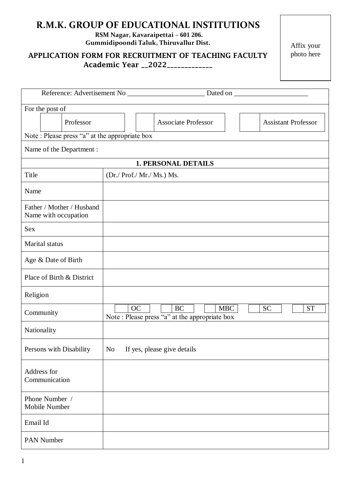# **R.M.K. GROUP OF EDUCATIONAL INSTITUTIONS**

**RSM Nagar, Kavaraipettai – 601 206. Gummidipoondi Taluk, Thiruvallur Dist.**

APPLICATION FORM FOR RECRUITMENT OF TEACHING FACULTY Academic Year \_\_2022\_\_\_\_\_\_\_\_\_\_\_\_\_

Affix your photo here

| Reference: Advertisement No                       | Dated on                                                                                                  |
|---------------------------------------------------|-----------------------------------------------------------------------------------------------------------|
| For the post of                                   |                                                                                                           |
| Professor                                         | <b>Associate Professor</b><br><b>Assistant Professor</b>                                                  |
| Note : Please press "a" at the appropriate box    |                                                                                                           |
| Name of the Department :                          |                                                                                                           |
|                                                   | <b>1. PERSONAL DETAILS</b>                                                                                |
| Title                                             | (Dr./ Prof./ Mr./ Ms.) Ms.                                                                                |
| Name                                              |                                                                                                           |
| Father / Mother / Husband<br>Name with occupation |                                                                                                           |
| <b>Sex</b>                                        |                                                                                                           |
| Marital status                                    |                                                                                                           |
| Age & Date of Birth                               |                                                                                                           |
| Place of Birth & District                         |                                                                                                           |
| Religion                                          |                                                                                                           |
| Community                                         | <b>OC</b><br>BC<br><b>MBC</b><br><b>SC</b><br><b>ST</b><br>Note : Please press "a" at the appropriate box |
| Nationality                                       |                                                                                                           |
| Persons with Disability                           | No If yes, please give details                                                                            |
| Address for<br>Communication                      |                                                                                                           |
| Phone Number /<br>Mobile Number                   |                                                                                                           |
| Email Id                                          |                                                                                                           |
| <b>PAN Number</b>                                 |                                                                                                           |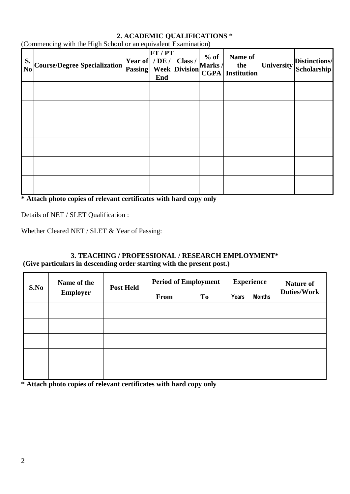| S. Course/Degree Specialization | $\ldots$ and $\ldots$ $\ldots$ $\ldots$ $\ldots$ $\ldots$ | $\begin{array}{ c c c c c }\n \textbf{Year of} & / \textbf{DE} /  \textbf{Class} /  \textbf{Marks} /  \textbf{Passing}  & \textbf{Week} & \textbf{Division} & \textbf{CCDA} \n \end{array}$ | FT / PT<br>End | $%$ of<br>CGPA | Name of<br>the<br><b>Institution</b> | University | Distinctions/<br>Scholarship |
|---------------------------------|-----------------------------------------------------------|---------------------------------------------------------------------------------------------------------------------------------------------------------------------------------------------|----------------|----------------|--------------------------------------|------------|------------------------------|
|                                 |                                                           |                                                                                                                                                                                             |                |                |                                      |            |                              |
|                                 |                                                           |                                                                                                                                                                                             |                |                |                                      |            |                              |
|                                 |                                                           |                                                                                                                                                                                             |                |                |                                      |            |                              |
|                                 |                                                           |                                                                                                                                                                                             |                |                |                                      |            |                              |
|                                 |                                                           |                                                                                                                                                                                             |                |                |                                      |            |                              |
|                                 |                                                           |                                                                                                                                                                                             |                |                |                                      |            |                              |

# **2. ACADEMIC QUALIFICATIONS \***

(Commencing with the High School or an equivalent Examination)

**\* Attach photo copies of relevant certificates with hard copy only**

Details of NET / SLET Qualification :

Whether Cleared NET / SLET & Year of Passing:

# **3. TEACHING / PROFESSIONAL / RESEARCH EMPLOYMENT\* (Give particulars in descending order starting with the present post.)**

| S.No | Name of the     | <b>Post Held</b> | <b>Period of Employment</b> |                | <b>Experience</b> |               | <b>Nature of</b>   |
|------|-----------------|------------------|-----------------------------|----------------|-------------------|---------------|--------------------|
|      | <b>Employer</b> |                  | <b>From</b>                 | T <sub>0</sub> | Years             | <b>Months</b> | <b>Duties/Work</b> |
|      |                 |                  |                             |                |                   |               |                    |
|      |                 |                  |                             |                |                   |               |                    |
|      |                 |                  |                             |                |                   |               |                    |
|      |                 |                  |                             |                |                   |               |                    |
|      |                 |                  |                             |                |                   |               |                    |

**\* Attach photo copies of relevant certificates with hard copy only**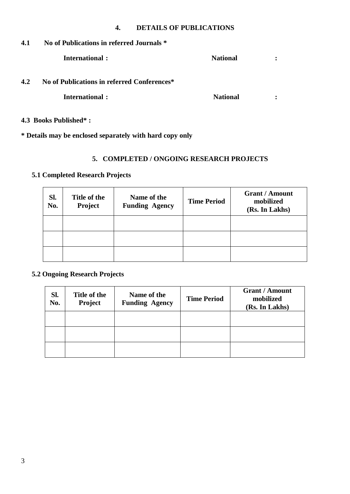#### **4. DETAILS OF PUBLICATIONS**

**4.1 No of Publications in referred Journals \***

**International :** National **:** National **:**  $\qquad \qquad$  **:**  $\qquad \qquad$ 

**4.2 No of Publications in referred Conferences\***

**International :** National : National : National : National : National : National : National : National : National : National : National : National : National : National : National : National : National : National : Nation

**4.3 Books Published\* :**

**\* Details may be enclosed separately with hard copy only**

# **5. COMPLETED / ONGOING RESEARCH PROJECTS**

# **5.1 Completed Research Projects**

| Sl.<br>No. | Title of the<br><b>Project</b> | Name of the<br><b>Funding Agency</b> | <b>Time Period</b> | <b>Grant / Amount</b><br>mobilized<br>(Rs. In Lakhs) |
|------------|--------------------------------|--------------------------------------|--------------------|------------------------------------------------------|
|            |                                |                                      |                    |                                                      |
|            |                                |                                      |                    |                                                      |
|            |                                |                                      |                    |                                                      |

# **5.2 Ongoing Research Projects**

| SI.<br>No. | Title of the<br><b>Project</b> | Name of the<br><b>Funding Agency</b> | <b>Time Period</b> | <b>Grant / Amount</b><br>mobilized<br>(Rs. In Lakhs) |
|------------|--------------------------------|--------------------------------------|--------------------|------------------------------------------------------|
|            |                                |                                      |                    |                                                      |
|            |                                |                                      |                    |                                                      |
|            |                                |                                      |                    |                                                      |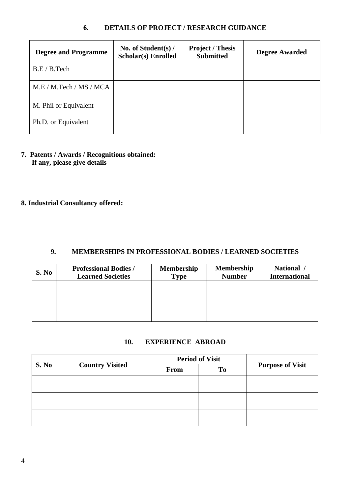### **6. DETAILS OF PROJECT / RESEARCH GUIDANCE**

| <b>Degree and Programme</b> | No. of Student(s) $/$<br><b>Scholar(s)</b> Enrolled | <b>Project / Thesis</b><br><b>Submitted</b> | <b>Degree Awarded</b> |
|-----------------------------|-----------------------------------------------------|---------------------------------------------|-----------------------|
| B.E / B.Tech                |                                                     |                                             |                       |
| M.E / M.Tech / MS / MCA     |                                                     |                                             |                       |
| M. Phil or Equivalent       |                                                     |                                             |                       |
| Ph.D. or Equivalent         |                                                     |                                             |                       |

# **7. Patents / Awards / Recognitions obtained: If any, please give details**

# **8. Industrial Consultancy offered:**

#### **9. MEMBERSHIPS IN PROFESSIONAL BODIES / LEARNED SOCIETIES**

| S. No | <b>Professional Bodies /</b><br><b>Learned Societies</b> | <b>Membership</b><br><b>Type</b> | <b>Membership</b><br><b>Number</b> | National /<br><b>International</b> |
|-------|----------------------------------------------------------|----------------------------------|------------------------------------|------------------------------------|
|       |                                                          |                                  |                                    |                                    |
|       |                                                          |                                  |                                    |                                    |
|       |                                                          |                                  |                                    |                                    |

#### **10. EXPERIENCE ABROAD**

| S. No | <b>Country Visited</b> |             | <b>Period of Visit</b> |                         |
|-------|------------------------|-------------|------------------------|-------------------------|
|       |                        | <b>From</b> | To                     | <b>Purpose of Visit</b> |
|       |                        |             |                        |                         |
|       |                        |             |                        |                         |
|       |                        |             |                        |                         |
|       |                        |             |                        |                         |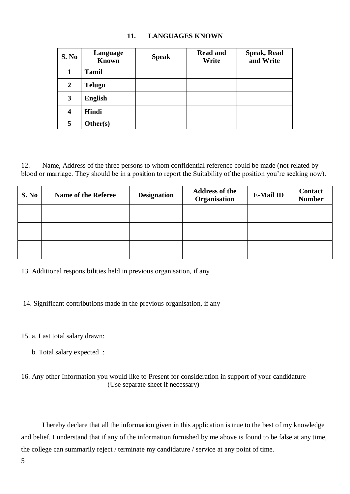| S. No            | Language<br><b>Known</b> | <b>Speak</b> | <b>Read and</b><br>Write | <b>Speak, Read</b><br>and Write |
|------------------|--------------------------|--------------|--------------------------|---------------------------------|
| 1                | <b>Tamil</b>             |              |                          |                                 |
| $\boldsymbol{2}$ | <b>Telugu</b>            |              |                          |                                 |
| $\mathbf{3}$     | <b>English</b>           |              |                          |                                 |
| 4                | Hindi                    |              |                          |                                 |
| 5                | Other(s)                 |              |                          |                                 |

# **11. LANGUAGES KNOWN**

12. Name, Address of the three persons to whom confidential reference could be made (not related by blood or marriage. They should be in a position to report the Suitability of the position you're seeking now).

| S. No | <b>Name of the Referee</b> | <b>Designation</b> | <b>Address of the</b><br>Organisation | <b>E-Mail ID</b> | Contact<br><b>Number</b> |
|-------|----------------------------|--------------------|---------------------------------------|------------------|--------------------------|
|       |                            |                    |                                       |                  |                          |
|       |                            |                    |                                       |                  |                          |
|       |                            |                    |                                       |                  |                          |

13. Additional responsibilities held in previous organisation, if any

14. Significant contributions made in the previous organisation, if any

#### 15. a. Last total salary drawn:

b. Total salary expected :

# 16. Any other Information you would like to Present for consideration in support of your candidature (Use separate sheet if necessary)

I hereby declare that all the information given in this application is true to the best of my knowledge and belief. I understand that if any of the information furnished by me above is found to be false at any time, the college can summarily reject / terminate my candidature / service at any point of time.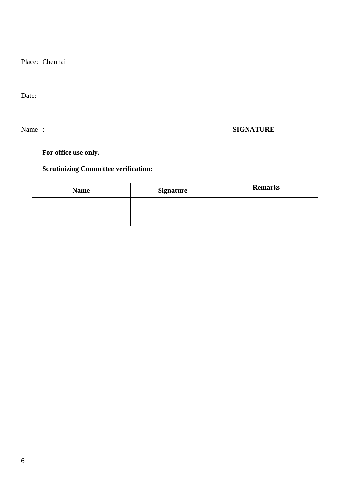Place: Chennai

Date:

# Name : **SIGNATURE**

**For office use only.**

# **Scrutinizing Committee verification:**

| <b>Name</b> | <b>Signature</b> | <b>Remarks</b> |
|-------------|------------------|----------------|
|             |                  |                |
|             |                  |                |